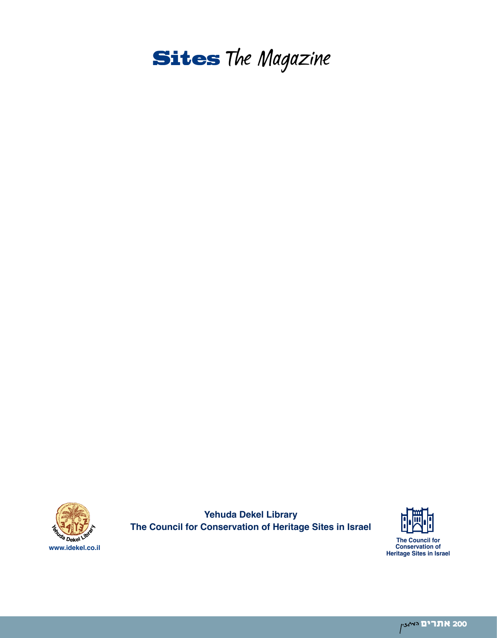



**Yehuda Dekel Library The Council for Conservation of Heritage Sites in Israel** 

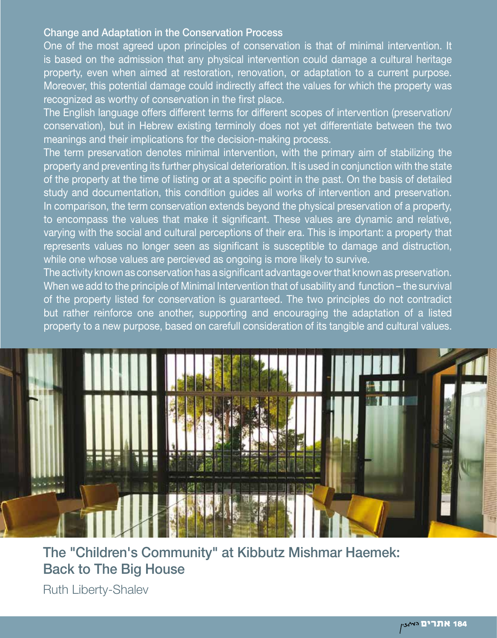#### Change and Adaptation in the Conservation Process

One of the most agreed upon principles of conservation is that of minimal intervention. It is based on the admission that any physical intervention could damage a cultural heritage property, even when aimed at restoration, renovation, or adaptation to a current purpose. Moreover, this potential damage could indirectly affect the values for which the property was recognized as worthy of conservation in the first place.

The English language offers different terms for different scopes of intervention (preservation/ conservation), but in Hebrew existing terminoly does not yet differentiate between the two meanings and their implications for the decision-making process.

The term preservation denotes minimal intervention, with the primary aim of stabilizing the property and preventing its further physical deterioration. It is used in conjunction with the state of the property at the time of listing or at a specific point in the past. On the basis of detailed study and documentation, this condition guides all works of intervention and preservation. In comparison, the term conservation extends beyond the physical preservation of a property, to encompass the values that make it significant. These values are dynamic and relative, varying with the social and cultural perceptions of their era. This is important: a property that represents values no longer seen as significant is susceptible to damage and distruction, while one whose values are percieved as ongoing is more likely to survive.

The activity known as conservation has a significant advantage over that known as preservation. When we add to the principle of Minimal Intervention that of usability and function – the survival of the property listed for conservation is guaranteed. The two principles do not contradict but rather reinforce one another, supporting and encouraging the adaptation of a listed property to a new purpose, based on carefull consideration of its tangible and cultural values.



The "Children's Community" at Kibbutz Mishmar Haemek: Back to The Big House Ruth Liberty-Shalev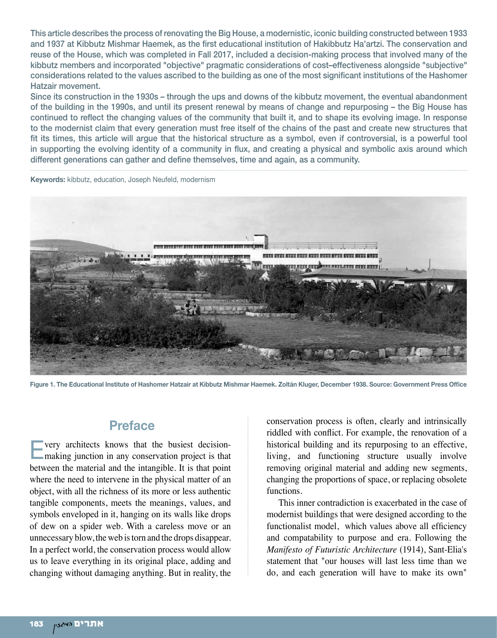This article describes the process of renovating the Big House, a modernistic, iconic building constructed between 1933 and 1937 at Kibbutz Mishmar Haemek, as the first educational institution of Hakibbutz Ha'artzi. The conservation and reuse of the House, which was completed in Fall 2017, included a decision-making process that involved many of the kibbutz members and incorporated "objective" pragmatic considerations of cost–effectiveness alongside "subjective" considerations related to the values ascribed to the building as one of the most significant institutions of the Hashomer Hatzair movement.

Since its construction in the 1930s – through the ups and downs of the kibbutz movement, the eventual abandonment of the building in the 1990s, and until its present renewal by means of change and repurposing – the Big House has continued to reflect the changing values of the community that built it, and to shape its evolving image. In response to the modernist claim that every generation must free itself of the chains of the past and create new structures that fit its times, this article will argue that the historical structure as a symbol, even if controversial, is a powerful tool in supporting the evolving identity of a community in flux, and creating a physical and symbolic axis around which different generations can gather and define themselves, time and again, as a community.

**Keywords:** kibbutz, education, Joseph Neufeld, modernism



**Figure 1. The Educational Institute of Hashomer Hatzair at Kibbutz Mishmar Haemek. Zoltán Kluger, December 1938. Source: Government Press Office**

### **Preface**

Every architects knows that the busiest decisionmaking junction in any conservation project is that between the material and the intangible. It is that point where the need to intervene in the physical matter of an object, with all the richness of its more or less authentic tangible components, meets the meanings, values, and symbols enveloped in it, hanging on its walls like drops of dew on a spider web. With a careless move or an unnecessary blow, the web is torn and the drops disappear. In a perfect world, the conservation process would allow us to leave everything in its original place, adding and changing without damaging anything. But in reality, the

conservation process is often, clearly and intrinsically riddled with conflict. For example, the renovation of a historical building and its repurposing to an effective, living, and functioning structure usually involve removing original material and adding new segments, changing the proportions of space, or replacing obsolete functions.

This inner contradiction is exacerbated in the case of modernist buildings that were designed according to the functionalist model, which values above all efficiency and compatability to purpose and era. Following the *Manifesto of Futuristic Architecture* (1914), Sant-Elia's statement that "our houses will last less time than we do, and each generation will have to make its own"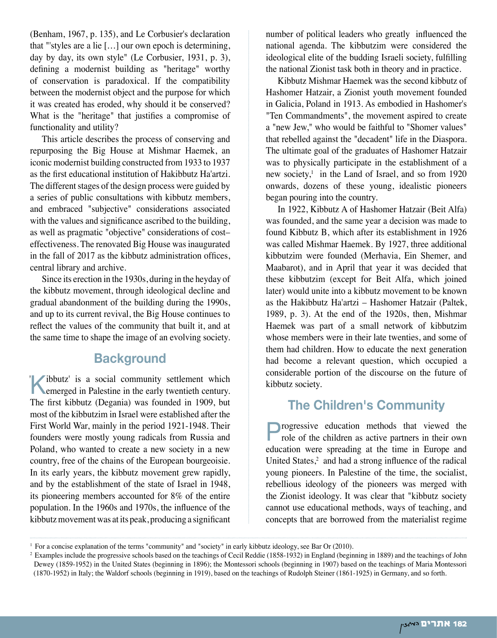(Benham, 1967, p. 135), and Le Corbusier's declaration that "'styles are a lie […] our own epoch is determining, day by day, its own style" (Le Corbusier, 1931, p. 3), defining a modernist building as "heritage" worthy of conservation is paradoxical. If the compatibility between the modernist object and the purpose for which it was created has eroded, why should it be conserved? What is the "heritage" that justifies a compromise of functionality and utility?

This article describes the process of conserving and repurposing the Big House at Mishmar Haemek, an iconic modernist building constructed from 1933 to 1937 as the first educational institution of Hakibbutz Ha'artzi. The different stages of the design process were guided by a series of public consultations with kibbutz members, and embraced "subjective" considerations associated with the values and significance ascribed to the building, as well as pragmatic "objective" considerations of cost– effectiveness. The renovated Big House was inaugurated in the fall of 2017 as the kibbutz administration offices, central library and archive.

Since its erection in the 1930s, during in the heyday of the kibbutz movement, through ideological decline and gradual abandonment of the building during the 1990s, and up to its current revival, the Big House continues to reflect the values of the community that built it, and at the same time to shape the image of an evolving society.

### **Background**

Kibbutz' is a social community settlement which emerged in Palestine in the early twentieth century. The first kibbutz (Degania) was founded in 1909, but most of the kibbutzim in Israel were established after the First World War, mainly in the period 1921-1948. Their founders were mostly young radicals from Russia and Poland, who wanted to create a new society in a new country, free of the chains of the European bourgeoisie. In its early years, the kibbutz movement grew rapidly, and by the establishment of the state of Israel in 1948, its pioneering members accounted for 8% of the entire population. In the 1960s and 1970s, the influence of the kibbutz movement was at its peak, producing a significant '

number of political leaders who greatly influenced the national agenda. The kibbutzim were considered the ideological elite of the budding Israeli society, fulfilling the national Zionist task both in theory and in practice.

Kibbutz Mishmar Haemek was the second kibbutz of Hashomer Hatzair, a Zionist youth movement founded in Galicia, Poland in 1913. As embodied in Hashomer's "Ten Commandments", the movement aspired to create a "new Jew," who would be faithful to "Shomer values" that rebelled against the "decadent" life in the Diaspora. The ultimate goal of the graduates of Hashomer Hatzair was to physically participate in the establishment of a new society, $\frac{1}{1}$  in the Land of Israel, and so from 1920 onwards, dozens of these young, idealistic pioneers began pouring into the country.

In 1922, Kibbutz A of Hashomer Hatzair (Beit Alfa) was founded, and the same year a decision was made to found Kibbutz B, which after its establishment in 1926 was called Mishmar Haemek. By 1927, three additional kibbutzim were founded (Merhavia, Ein Shemer, and Maabarot), and in April that year it was decided that these kibbutzim (except for Beit Alfa, which joined later) would unite into a kibbutz movement to be known as the Hakibbutz Ha'artzi – Hashomer Hatzair (Paltek, 1989, p. 3). At the end of the 1920s, then, Mishmar Haemek was part of a small network of kibbutzim whose members were in their late twenties, and some of them had children. How to educate the next generation had become a relevant question, which occupied a considerable portion of the discourse on the future of kibbutz society.

# **The Children's Community**

**Progressive education methods that viewed the role of the children as active partners in their own** education were spreading at the time in Europe and United States, $2$  and had a strong influence of the radical young pioneers. In Palestine of the time, the socialist, rebellious ideology of the pioneers was merged with the Zionist ideology. It was clear that "kibbutz society cannot use educational methods, ways of teaching, and concepts that are borrowed from the materialist regime

<sup>1</sup> For a concise explanation of the terms "community" and "society" in early kibbutz ideology, see Bar Or (2010).

<sup>&</sup>lt;sup>2</sup> Examples include the progressive schools based on the teachings of Cecil Reddie (1858-1932) in England (beginning in 1889) and the teachings of John Dewey (1859-1952) in the United States (beginning in 1896); the Montessori schools (beginning in 1907) based on the teachings of Maria Montessori (1870-1952) in Italy; the Waldorf schools (beginning in 1919), based on the teachings of Rudolph Steiner (1861-1925) in Germany, and so forth.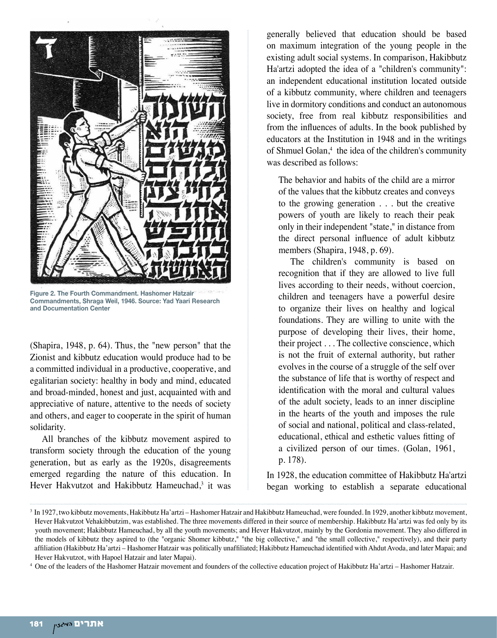

**Figure 2. The Fourth Commandment. Hashomer Hatzair Commandments, Shraga Weil, 1946. Source: Yad Yaari Research and Documentation Center**

(Shapira, 1948, p. 64). Thus, the "new person" that the Zionist and kibbutz education would produce had to be a committed individual in a productive, cooperative, and egalitarian society: healthy in body and mind, educated and broad-minded, honest and just, acquainted with and appreciative of nature, attentive to the needs of society and others, and eager to cooperate in the spirit of human solidarity.

All branches of the kibbutz movement aspired to transform society through the education of the young generation, but as early as the 1920s, disagreements emerged regarding the nature of this education. In Hever Hakvutzot and Hakibbutz Hameuchad,<sup>3</sup> it was

generally believed that education should be based on maximum integration of the young people in the existing adult social systems. In comparison, Hakibbutz Ha'artzi adopted the idea of a "children's community": an independent educational institution located outside of a kibbutz community, where children and teenagers live in dormitory conditions and conduct an autonomous society, free from real kibbutz responsibilities and from the influences of adults. In the book published by educators at the Institution in 1948 and in the writings of Shmuel Golan,<sup>4</sup> the idea of the children's community was described as follows:

The behavior and habits of the child are a mirror of the values that the kibbutz creates and conveys to the growing generation . . . but the creative powers of youth are likely to reach their peak only in their independent "state," in distance from the direct personal influence of adult kibbutz members (Shapira, 1948, p. 69).

The children's community is based on recognition that if they are allowed to live full lives according to their needs, without coercion, children and teenagers have a powerful desire to organize their lives on healthy and logical foundations. They are willing to unite with the purpose of developing their lives, their home, their project . . . The collective conscience, which is not the fruit of external authority, but rather evolves in the course of a struggle of the self over the substance of life that is worthy of respect and identification with the moral and cultural values of the adult society, leads to an inner discipline in the hearts of the youth and imposes the rule of social and national, political and class-related, educational, ethical and esthetic values fitting of a civilized person of our times. (Golan, 1961, p. 178).

In 1928, the education committee of Hakibbutz Ha'artzi began working to establish a separate educational

<sup>3</sup> In 1927, two kibbutz movements, Hakibbutz Ha'artzi – Hashomer Hatzair and Hakibbutz Hameuchad, were founded. In 1929, another kibbutz movement, Hever Hakvutzot Vehakibbutzim, was established. The three movements differed in their source of membership. Hakibbutz Ha'artzi was fed only by its youth movement; Hakibbutz Hameuchad, by all the youth movements; and Hever Hakvutzot, mainly by the Gordonia movement. They also differed in the models of kibbutz they aspired to (the "organic Shomer kibbutz," "the big collective," and "the small collective," respectively), and their party affiliation (Hakibbutz Ha'artzi – Hashomer Hatzair was politically unaffiliated; Hakibbutz Hameuchad identified with Ahdut Avoda, and later Mapai; and Hever Hakvutzot, with Hapoel Hatzair and later Mapai).

<sup>4</sup> One of the leaders of the Hashomer Hatzair movement and founders of the collective education project of Hakibbutz Ha'artzi – Hashomer Hatzair.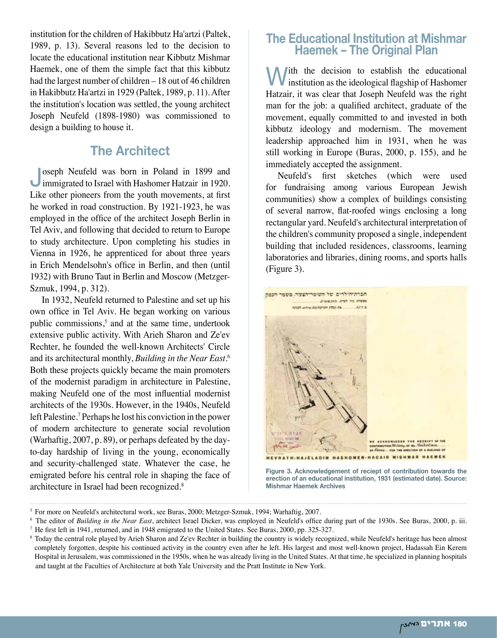institution for the children of Hakibbutz Ha'artzi (Paltek, 1989, p. 13). Several reasons led to the decision to locate the educational institution near Kibbutz Mishmar Haemek, one of them the simple fact that this kibbutz had the largest number of children – 18 out of 46 children in Hakibbutz Ha'artzi in 1929 (Paltek, 1989, p. 11). After the institution's location was settled, the young architect Joseph Neufeld (1898-1980) was commissioned to design a building to house it.

## **The Architect**

Joseph Neufeld was born in Poland in 1899 and immigrated to Israel with Hashomer Hatzair in 1920. Like other pioneers from the youth movements, at first he worked in road construction. By 1921-1923, he was employed in the office of the architect Joseph Berlin in Tel Aviv, and following that decided to return to Europe to study architecture. Upon completing his studies in Vienna in 1926, he apprenticed for about three years in Erich Mendelsohn's office in Berlin, and then (until 1932) with Bruno Taut in Berlin and Moscow (Metzger-Szmuk, 1994, p. 312).

In 1932, Neufeld returned to Palestine and set up his own office in Tel Aviv. He began working on various public commissions,<sup>5</sup> and at the same time, undertook extensive public activity. With Arieh Sharon and Ze'ev Rechter, he founded the well-known Architects' Circle and its architectural monthly, *Building in the Near East*. 6 Both these projects quickly became the main promoters of the modernist paradigm in architecture in Palestine, making Neufeld one of the most influential modernist architects of the 1930s. However, in the 1940s, Neufeld left Palestine.7 Perhaps he lost his conviction in the power of modern architecture to generate social revolution (Warhaftig, 2007, p. 89), or perhaps defeated by the dayto-day hardship of living in the young, economically and security-challenged state. Whatever the case, he emigrated before his central role in shaping the face of architecture in Israel had been recognized.8

#### **The Educational Institution at Mishmar Haemek – The Original Plan**

With the decision to establish the educational institution as the ideological flagship of Hashomer Hatzair, it was clear that Joseph Neufeld was the right man for the job: a qualified architect, graduate of the movement, equally committed to and invested in both kibbutz ideology and modernism. The movement leadership approached him in 1931, when he was still working in Europe (Buras, 2000, p. 155), and he immediately accepted the assignment.

Neufeld's first sketches (which were used for fundraising among various European Jewish communities) show a complex of buildings consisting of several narrow, flat-roofed wings enclosing a long rectangular yard. Neufeld's architectural interpretation of the children's community proposed a single, independent building that included residences, classrooms, learning laboratories and libraries, dining rooms, and sports halls (Figure 3).



**Figure 3. Acknowledgement of reciept of contribution towards the erection of an educational institution, 1931 (estimated date). Source: Mishmar Haemek Archives**

<sup>&</sup>lt;sup>5</sup> For more on Neufeld's architectural work, see Buras, 2000; Metzger-Szmuk, 1994; Warhaftig, 2007.

<sup>6</sup> The editor of *Building in the Near East*, architect Israel Dicker, was employed in Neufeld's office during part of the 1930s. See Buras, 2000, p. iii.

<sup>7</sup>He first left in 1941, returned, and in 1948 emigrated to the United States. See Buras, 2000, pp. 325-327.

<sup>&</sup>lt;sup>8</sup> Today the central role played by Arieh Sharon and Ze'ev Rechter in building the country is widely recognized, while Neufeld's heritage has been almost completely forgotten, despite his continued activity in the country even after he left. His largest and most well-known project, Hadassah Ein Kerem Hospital in Jerusalem, was commissioned in the 1950s, when he was already living in the United States. At that time, he specialized in planning hospitals and taught at the Faculties of Architecture at both Yale University and the Pratt Institute in New York.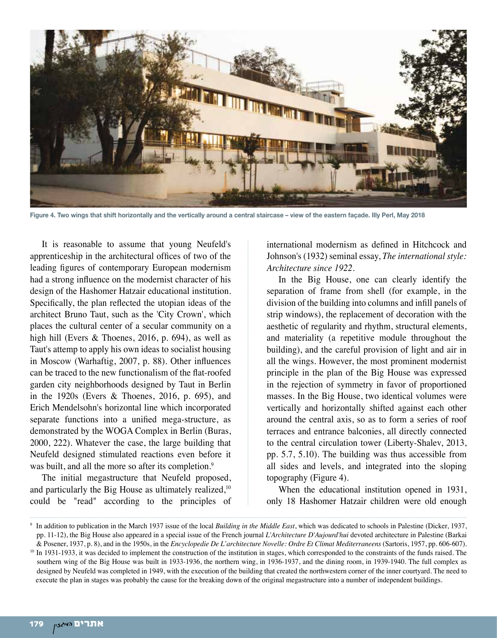

**Figure 4. Two wings that shift horizontally and the vertically around a central staircase – view of the eastern façade. Illy Perl, May 2018**

It is reasonable to assume that young Neufeld's apprenticeship in the architectural offices of two of the leading figures of contemporary European modernism had a strong influence on the modernist character of his design of the Hashomer Hatzair educational institution. Specifically, the plan reflected the utopian ideas of the architect Bruno Taut, such as the 'City Crown', which places the cultural center of a secular community on a high hill (Evers & Thoenes, 2016, p. 694), as well as Taut's attemp to apply his own ideas to socialist housing in Moscow (Warhaftig, 2007, p. 88). Other influences can be traced to the new functionalism of the flat-roofed garden city neighborhoods designed by Taut in Berlin in the 1920s (Evers & Thoenes, 2016, p. 695), and Erich Mendelsohn's horizontal line which incorporated separate functions into a unified mega-structure, as demonstrated by the WOGA Complex in Berlin (Buras, 2000, 222). Whatever the case, the large building that Neufeld designed stimulated reactions even before it was built, and all the more so after its completion.<sup>9</sup>

The initial megastructure that Neufeld proposed, and particularly the Big House as ultimately realized,<sup>10</sup> could be "read" according to the principles of

international modernism as defined in Hitchcock and Johnson's (1932) seminal essay, *The international style: Architecture since 1922.* 

In the Big House, one can clearly identify the separation of frame from shell (for example, in the division of the building into columns and infill panels of strip windows), the replacement of decoration with the aesthetic of regularity and rhythm, structural elements, and materiality (a repetitive module throughout the building), and the careful provision of light and air in all the wings. However, the most prominent modernist principle in the plan of the Big House was expressed in the rejection of symmetry in favor of proportioned masses. In the Big House, two identical volumes were vertically and horizontally shifted against each other around the central axis, so as to form a series of roof terraces and entrance balconies, all directly connected to the central circulation tower (Liberty-Shalev, 2013, pp. 5.7, 5.10). The building was thus accessible from all sides and levels, and integrated into the sloping topography (Figure 4).

When the educational institution opened in 1931, only 18 Hashomer Hatzair children were old enough

<sup>9</sup> In addition to publication in the March 1937 issue of the local *Building in the Middle East*, which was dedicated to schools in Palestine (Dicker, 1937, pp. 11-12), the Big House also appeared in a special issue of the French journal *L'Architecture D'Aujourd'hui* devoted architecture in Palestine (Barkai & Posener, 1937, p. 8), and in the 1950s, in the *Encyclopedie De L'architecture Novelle: Ordre Et Climat Mediterraneens* (Sartoris, 1957, pp. 606-607). <sup>10</sup> In 1931-1933, it was decided to implement the construction of the institution in stages, which corresponded to the constraints of the funds raised. The southern wing of the Big House was built in 1933-1936, the northern wing, in 1936-1937, and the dining room, in 1939-1940. The full complex as designed by Neufeld was completed in 1949, with the execution of the building that created the northwestern corner of the inner courtyard. The need to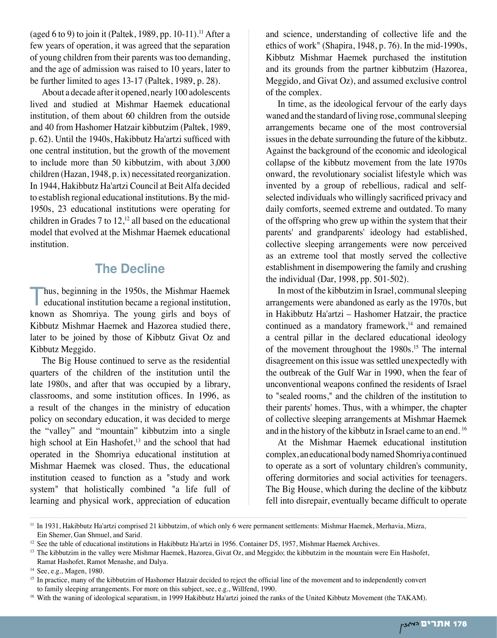(aged 6 to 9) to join it (Paltek, 1989, pp. 10-11).<sup>11</sup> After a few years of operation, it was agreed that the separation of young children from their parents was too demanding, and the age of admission was raised to 10 years, later to be further limited to ages 13-17 (Paltek, 1989, p. 28).

About a decade after it opened, nearly 100 adolescents lived and studied at Mishmar Haemek educational institution, of them about 60 children from the outside and 40 from Hashomer Hatzair kibbutzim (Paltek, 1989, p. 62). Until the 1940s, Hakibbutz Ha'artzi sufficed with one central institution, but the growth of the movement to include more than 50 kibbutzim, with about 3,000 children (Hazan, 1948, p. ix) necessitated reorganization. In 1944, Hakibbutz Ha'artzi Council at Beit Alfa decided to establish regional educational institutions. By the mid-1950s, 23 educational institutions were operating for children in Grades 7 to  $12<sup>12</sup>$  all based on the educational model that evolved at the Mishmar Haemek educational institution.

# **The Decline**

Thus, beginning in the 1950s, the Mishmar Haemek educational institution became a regional institution, known as Shomriya. The young girls and boys of Kibbutz Mishmar Haemek and Hazorea studied there, later to be joined by those of Kibbutz Givat Oz and Kibbutz Meggido.

The Big House continued to serve as the residential quarters of the children of the institution until the late 1980s, and after that was occupied by a library, classrooms, and some institution offices. In 1996, as a result of the changes in the ministry of education policy on secondary education, it was decided to merge the "valley" and "mountain" kibbutzim into a single high school at Ein Hashofet, $13$  and the school that had operated in the Shomriya educational institution at Mishmar Haemek was closed. Thus, the educational institution ceased to function as a "study and work system" that holistically combined "a life full of learning and physical work, appreciation of education

and science, understanding of collective life and the ethics of work" (Shapira, 1948, p. 76). In the mid-1990s, Kibbutz Mishmar Haemek purchased the institution and its grounds from the partner kibbutzim (Hazorea, Meggido, and Givat Oz), and assumed exclusive control of the complex.

In time, as the ideological fervour of the early days waned and the standard of living rose, communal sleeping arrangements became one of the most controversial issues in the debate surrounding the future of the kibbutz. Against the background of the economic and ideological collapse of the kibbutz movement from the late 1970s onward, the revolutionary socialist lifestyle which was invented by a group of rebellious, radical and selfselected individuals who willingly sacrificed privacy and daily comforts, seemed extreme and outdated. To many of the offspring who grew up within the system that their parents' and grandparents' ideology had established, collective sleeping arrangements were now perceived as an extreme tool that mostly served the collective establishment in disempowering the family and crushing the individual (Dar, 1998, pp. 501-502).

In most of the kibbutzim in Israel, communal sleeping arrangements were abandoned as early as the 1970s, but in Hakibbutz Ha'artzi – Hashomer Hatzair, the practice continued as a mandatory framework, $14$  and remained a central pillar in the declared educational ideology of the movement throughout the 1980s.15 The internal disagreement on this issue was settled unexpectedly with the outbreak of the Gulf War in 1990, when the fear of unconventional weapons confined the residents of Israel to "sealed rooms," and the children of the institution to their parents' homes. Thus, with a whimper, the chapter of collective sleeping arrangements at Mishmar Haemek and in the history of the kibbutz in Israel came to an end. 16

At the Mishmar Haemek educational institution complex, an educational body named Shomriya continued to operate as a sort of voluntary children's community, offering dormitories and social activities for teenagers. The Big House, which during the decline of the kibbutz fell into disrepair, eventually became difficult to operate

<sup>11</sup> In 1931, Hakibbutz Ha'artzi comprised 21 kibbutzim, of which only 6 were permanent settlements: Mishmar Haemek, Merhavia, Mizra, Ein Shemer, Gan Shmuel, and Sarid.

<sup>&</sup>lt;sup>12</sup> See the table of educational institutions in Hakibbutz Ha'artzi in 1956. Container D5, 1957, Mishmar Haemek Archives.

<sup>&</sup>lt;sup>13</sup> The kibbutzim in the valley were Mishmar Haemek, Hazorea, Givat Oz, and Meggido; the kibbutzim in the mountain were Ein Hashofet, Ramat Hashofet, Ramot Menashe, and Dalya.

<sup>14</sup> See, e.g., Magen, 1980.

<sup>&</sup>lt;sup>15</sup> In practice, many of the kibbutzim of Hashomer Hatzair decided to reject the official line of the movement and to independently convert to family sleeping arrangements. For more on this subject, see, e.g., Willfend, 1990.

<sup>&</sup>lt;sup>16</sup> With the waning of ideological separatism, in 1999 Hakibbutz Ha'artzi joined the ranks of the United Kibbutz Movement (the TAKAM).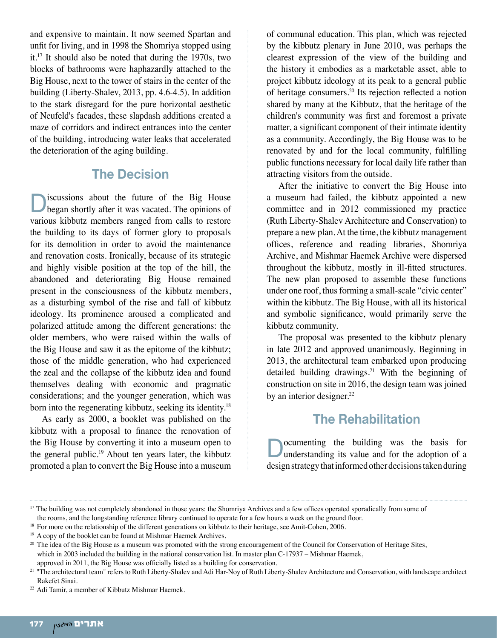and expensive to maintain. It now seemed Spartan and unfit for living, and in 1998 the Shomriya stopped using it.17 It should also be noted that during the 1970s, two blocks of bathrooms were haphazardly attached to the Big House, next to the tower of stairs in the center of the building (Liberty-Shalev, 2013, pp. 4.6-4.5). In addition to the stark disregard for the pure horizontal aesthetic of Neufeld's facades, these slapdash additions created a maze of corridors and indirect entrances into the center of the building, introducing water leaks that accelerated the deterioration of the aging building.

## **The Decision**

iscussions about the future of the Big House began shortly after it was vacated. The opinions of various kibbutz members ranged from calls to restore the building to its days of former glory to proposals for its demolition in order to avoid the maintenance and renovation costs. Ironically, because of its strategic and highly visible position at the top of the hill, the abandoned and deteriorating Big House remained present in the consciousness of the kibbutz members, as a disturbing symbol of the rise and fall of kibbutz ideology. Its prominence aroused a complicated and polarized attitude among the different generations: the older members, who were raised within the walls of the Big House and saw it as the epitome of the kibbutz; those of the middle generation, who had experienced the zeal and the collapse of the kibbutz idea and found themselves dealing with economic and pragmatic considerations; and the younger generation, which was born into the regenerating kibbutz, seeking its identity.18

As early as 2000, a booklet was published on the kibbutz with a proposal to finance the renovation of the Big House by converting it into a museum open to the general public.<sup>19</sup> About ten years later, the kibbutz promoted a plan to convert the Big House into a museum of communal education. This plan, which was rejected by the kibbutz plenary in June 2010, was perhaps the clearest expression of the view of the building and the history it embodies as a marketable asset, able to project kibbutz ideology at its peak to a general public of heritage consumers.20 Its rejection reflected a notion shared by many at the Kibbutz, that the heritage of the children's community was first and foremost a private matter, a significant component of their intimate identity as a community. Accordingly, the Big House was to be renovated by and for the local community, fulfilling public functions necessary for local daily life rather than attracting visitors from the outside.

After the initiative to convert the Big House into a museum had failed, the kibbutz appointed a new committee and in 2012 commissioned my practice (Ruth Liberty-Shalev Architecture and Conservation) to prepare a new plan. At the time, the kibbutz management offices, reference and reading libraries, Shomriya Archive, and Mishmar Haemek Archive were dispersed throughout the kibbutz, mostly in ill-fitted structures. The new plan proposed to assemble these functions under one roof, thus forming a small-scale "civic center" within the kibbutz. The Big House, with all its historical and symbolic significance, would primarily serve the kibbutz community.

The proposal was presented to the kibbutz plenary in late 2012 and approved unanimously. Beginning in 2013, the architectural team embarked upon producing detailed building drawings.<sup>21</sup> With the beginning of construction on site in 2016, the design team was joined by an interior designer.<sup>22</sup>

# **The Rehabilitation**

Documenting the building was the basis for understanding its value and for the adoption of a design strategy that informed other decisions taken during

<sup>20</sup> The idea of the Big House as a museum was promoted with the strong encouragement of the Council for Conservation of Heritage Sites, which in 2003 included the building in the national conservation list. In master plan C-17937 – Mishmar Haemek, approved in 2011, the Big House was officially listed as a building for conservation.

<sup>&</sup>lt;sup>17</sup> The building was not completely abandoned in those years: the Shomriya Archives and a few offices operated sporadically from some of

the rooms, and the longstanding reference library continued to operate for a few hours a week on the ground floor.

<sup>&</sup>lt;sup>18</sup> For more on the relationship of the different generations on kibbutz to their heritage, see Amit-Cohen, 2006.

<sup>&</sup>lt;sup>19</sup> A copy of the booklet can be found at Mishmar Haemek Archives.

<sup>&</sup>lt;sup>21</sup> "The architectural team" refers to Ruth Liberty-Shalev and Adi Har-Noy of Ruth Liberty-Shalev Architecture and Conservation, with landscape architect Rakefet Sinai.

<sup>22</sup> Adi Tamir, a member of Kibbutz Mishmar Haemek.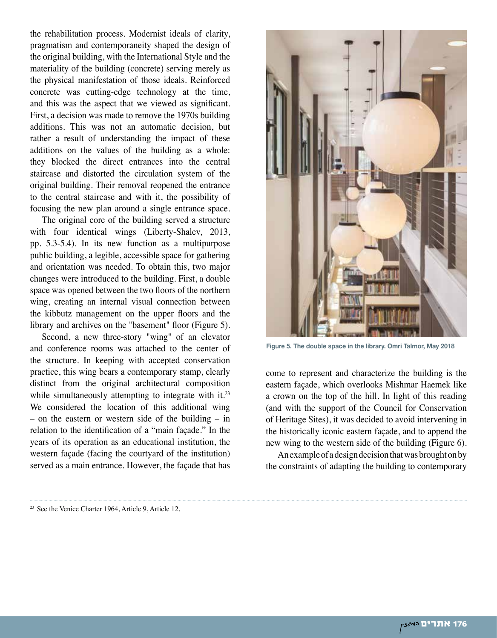the rehabilitation process. Modernist ideals of clarity, pragmatism and contemporaneity shaped the design of the original building, with the International Style and the materiality of the building (concrete) serving merely as the physical manifestation of those ideals. Reinforced concrete was cutting-edge technology at the time, and this was the aspect that we viewed as significant. First, a decision was made to remove the 1970s building additions. This was not an automatic decision, but rather a result of understanding the impact of these additions on the values of the building as a whole: they blocked the direct entrances into the central staircase and distorted the circulation system of the original building. Their removal reopened the entrance to the central staircase and with it, the possibility of focusing the new plan around a single entrance space.

The original core of the building served a structure with four identical wings (Liberty-Shalev, 2013, pp. 5.3-5.4). In its new function as a multipurpose public building, a legible, accessible space for gathering and orientation was needed. To obtain this, two major changes were introduced to the building. First, a double space was opened between the two floors of the northern wing, creating an internal visual connection between the kibbutz management on the upper floors and the library and archives on the "basement" floor (Figure 5).

Second, a new three-story "wing" of an elevator and conference rooms was attached to the center of the structure. In keeping with accepted conservation practice, this wing bears a contemporary stamp, clearly distinct from the original architectural composition while simultaneously attempting to integrate with it.<sup>23</sup> We considered the location of this additional wing – on the eastern or western side of the building – in relation to the identification of a "main façade." In the years of its operation as an educational institution, the western façade (facing the courtyard of the institution) served as a main entrance. However, the façade that has

<sup>23</sup> See the Venice Charter 1964, Article 9, Article 12.



**Figure 5. The double space in the library. Omri Talmor, May 2018**

come to represent and characterize the building is the eastern façade, which overlooks Mishmar Haemek like a crown on the top of the hill. In light of this reading (and with the support of the Council for Conservation of Heritage Sites), it was decided to avoid intervening in the historically iconic eastern façade, and to append the new wing to the western side of the building (Figure 6).

An example of a design decision that was brought on by the constraints of adapting the building to contemporary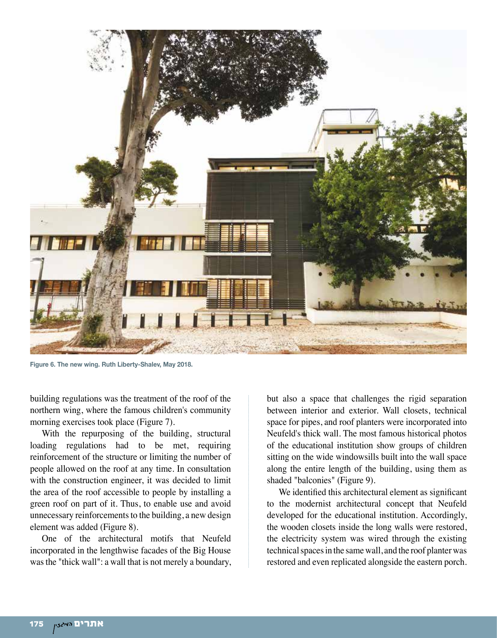

**Figure 6. The new wing. Ruth Liberty-Shalev, May 2018.**

building regulations was the treatment of the roof of the northern wing, where the famous children's community morning exercises took place (Figure 7).

With the repurposing of the building, structural loading regulations had to be met, requiring reinforcement of the structure or limiting the number of people allowed on the roof at any time. In consultation with the construction engineer, it was decided to limit the area of the roof accessible to people by installing a green roof on part of it. Thus, to enable use and avoid unnecessary reinforcements to the building, a new design element was added (Figure 8).

One of the architectural motifs that Neufeld incorporated in the lengthwise facades of the Big House was the "thick wall": a wall that is not merely a boundary, but also a space that challenges the rigid separation between interior and exterior. Wall closets, technical space for pipes, and roof planters were incorporated into Neufeld's thick wall. The most famous historical photos of the educational institution show groups of children sitting on the wide windowsills built into the wall space along the entire length of the building, using them as shaded "balconies" (Figure 9).

We identified this architectural element as significant to the modernist architectural concept that Neufeld developed for the educational institution. Accordingly, the wooden closets inside the long walls were restored, the electricity system was wired through the existing technical spaces in the same wall, and the roof planter was restored and even replicated alongside the eastern porch.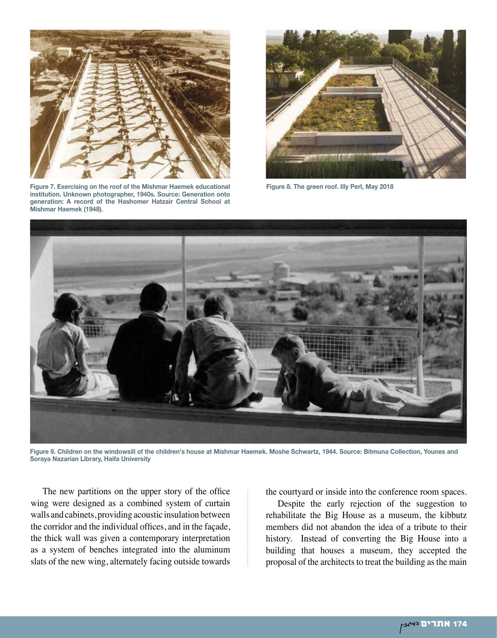

**Figure 7. Exercising on the roof of the Mishmar Haemek educational institution. Unknown photographer, 1940s. Source: Generation onto generation: A record of the Hashomer Hatzair Central School at Mishmar Haemek (1948).**



**Figure 8. The green roof. Illy Perl, May 2018**



**Figure 9. Children on the windowsill of the children's house at Mishmar Haemek. Moshe Schwartz, 1944. Source: Bitmuna Collection, Younes and Soraya Nazarian Library, Haifa University**

The new partitions on the upper story of the office wing were designed as a combined system of curtain walls and cabinets, providing acoustic insulation between the corridor and the individual offices, and in the façade, the thick wall was given a contemporary interpretation as a system of benches integrated into the aluminum slats of the new wing, alternately facing outside towards

the courtyard or inside into the conference room spaces.

Despite the early rejection of the suggestion to rehabilitate the Big House as a museum, the kibbutz members did not abandon the idea of a tribute to their history. Instead of converting the Big House into a building that houses a museum, they accepted the proposal of the architects to treat the building as the main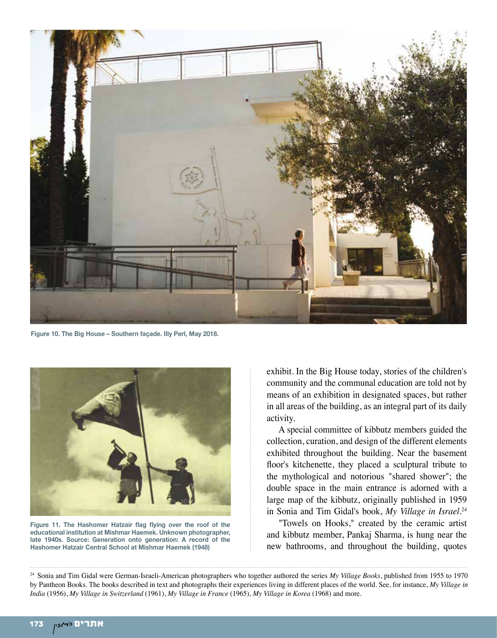

**Figure 10. The Big House – Southern façade. Illy Perl, May 2018.**



**Figure 11. The Hashomer Hatzair flag flying over the roof of the educational institution at Mishmar Haemek. Unknown photographer, late 1940s. Source: Generation onto generation: A record of the Hashomer Hatzair Central School at Mishmar Haemek (1948)**

exhibit. In the Big House today, stories of the children's community and the communal education are told not by means of an exhibition in designated spaces, but rather in all areas of the building, as an integral part of its daily activity.

A special committee of kibbutz members guided the collection, curation, and design of the different elements exhibited throughout the building. Near the basement floor's kitchenette, they placed a sculptural tribute to the mythological and notorious "shared shower"; the double space in the main entrance is adorned with a large map of the kibbutz, originally published in 1959 in Sonia and Tim Gidal's book, *My Village in Israel*. 24

"Towels on Hooks," created by the ceramic artist and kibbutz member, Pankaj Sharma, is hung near the new bathrooms, and throughout the building, quotes

24 Sonia and Tim Gidal were German-Israeli-American photographers who together authored the series *My Village Books*, published from 1955 to 1970 by Pantheon Books. The books described in text and photographs their experiences living in different places of the world. See, for instance, *My Village in India* (1956), *My Village in Switzerland* (1961), *My Village in France* (1965), *My Village in Korea* (1968) and more.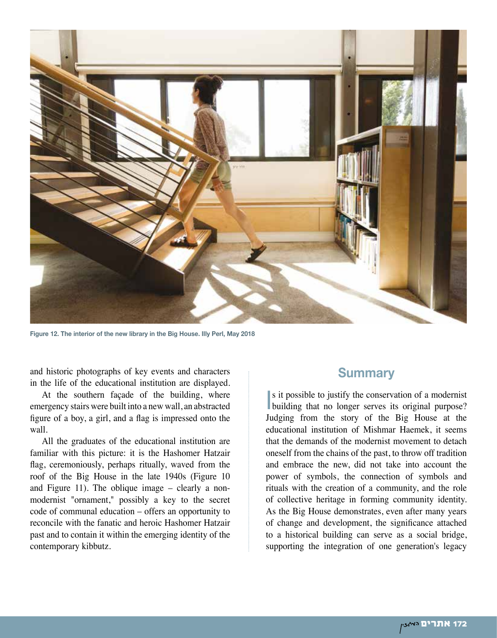

**Figure 12. The interior of the new library in the Big House. Illy Perl, May 2018**

and historic photographs of key events and characters in the life of the educational institution are displayed.

At the southern façade of the building, where emergency stairs were built into a new wall, an abstracted figure of a boy, a girl, and a flag is impressed onto the wall.

All the graduates of the educational institution are familiar with this picture: it is the Hashomer Hatzair flag, ceremoniously, perhaps ritually, waved from the roof of the Big House in the late 1940s (Figure 10 and Figure 11). The oblique image – clearly a nonmodernist "ornament," possibly a key to the secret code of communal education – offers an opportunity to reconcile with the fanatic and heroic Hashomer Hatzair past and to contain it within the emerging identity of the contemporary kibbutz.

#### **Summary**

In s it possible to justify the conservation of a modernist<br>building that no longer serves its original purpose? s it possible to justify the conservation of a modernist Judging from the story of the Big House at the educational institution of Mishmar Haemek, it seems that the demands of the modernist movement to detach oneself from the chains of the past, to throw off tradition and embrace the new, did not take into account the power of symbols, the connection of symbols and rituals with the creation of a community, and the role of collective heritage in forming community identity. As the Big House demonstrates, even after many years of change and development, the significance attached to a historical building can serve as a social bridge, supporting the integration of one generation's legacy